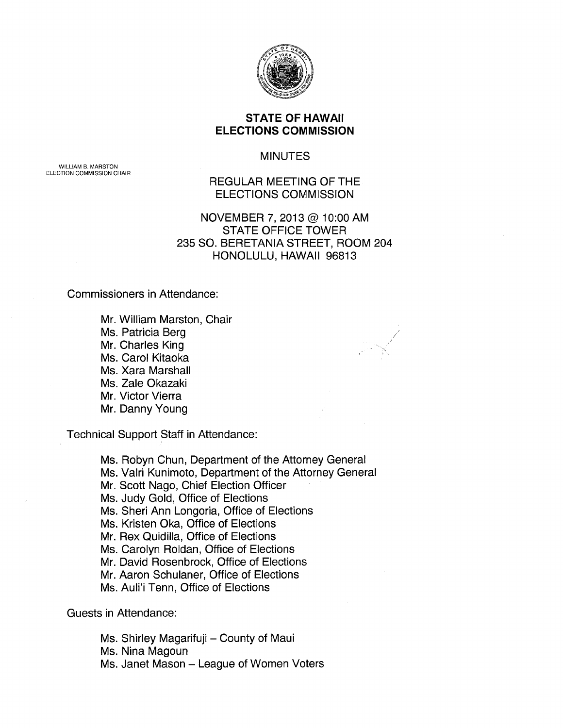

### **STATE OF HAWAII ELECTIONS COMMISSION**

MINUTES

WILLIAM B. MARSTON ELECTION COMMISSION CHAIR

# REGULAR MEETING OF THE ELECTIONS COMMISSION

## NOVEMBER 7, 2013@ 10:00 AM STATE OFFICE TOWER 235 SO. BERETANIA STREET, ROOM 204 HONOLULU, HAWAII 96813

Commissioners in Attendance:

Mr. William Marston, Chair Ms. Patricia Berg Mr. Charles King Ms. Carol Kitaoka Ms. Xara Marshall Ms. Zale Okazaki Mr. Victor Vierra Mr. Danny Young

Technical Support Staff in Attendance:

Ms. Robyn Chun, Department of the Attorney General Ms. Valri Kunimoto, Department of the Attorney General Mr. Scott Nago, Chief Election Officer Ms. Judy Gold, Office of Elections Ms. Sheri Ann Longoria, Office of Elections Ms. Kristen Oka, Office of Elections Mr. Rex Quidilla, Office of Elections Ms. Carolyn Roldan, Office of Elections Mr. David Rosenbrock, Office of Elections Mr. Aaron Schulaner, Office of Elections Ms. Auli'i Tenn, Office of Elections

Guests in Attendance:

Ms. Shirley Magarifuji - County of Maui

Ms. Nina Magoun

Ms. Janet Mason - League of Women Voters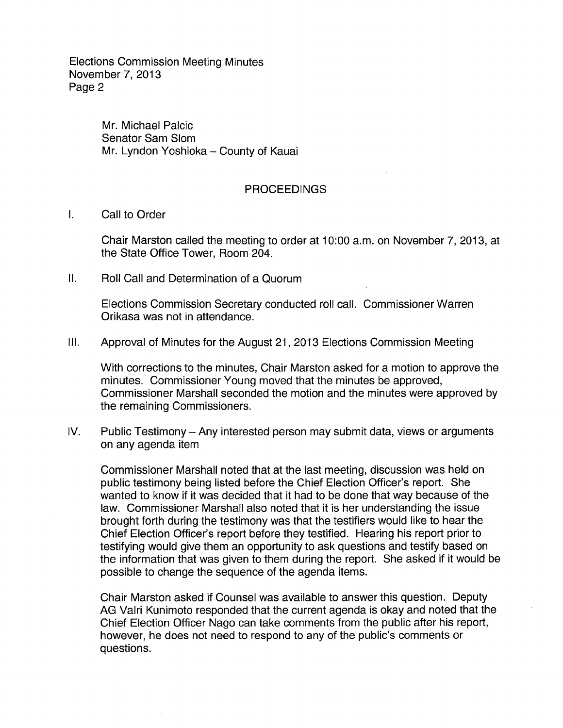> Mr. Michael Palcic Senator Sam Slom Mr. Lyndon Yoshioka - County of Kauai

#### **PROCEEDINGS**

#### I. Call to Order

Chair Marston called the meeting to order at 10:00 a.m. on November 7, 2013, at the State Office Tower, Room 204.

II. Roll Call and Determination of a Quorum

Elections Commission Secretary conducted roll call. Commissioner Warren Orikasa was not in attendance.

Ill. Approval of Minutes for the August 21, 2013 Elections Commission Meeting

With corrections to the minutes, Chair Marston asked for a motion to approve the minutes. Commissioner Young moved that the minutes be approved, Commissioner Marshall seconded the motion and the minutes were approved by the remaining Commissioners.

IV. Public Testimony - Any interested person may submit data, views or arguments on any agenda item

Commissioner Marshall noted that at the last meeting, discussion was held on public testimony being listed before the Chief Election Officer's report. She wanted to know if it was decided that it had to be done that way because of the law. Commissioner Marshall also noted that it is her understanding the issue brought forth during the testimony was that the testifiers would like to hear the Chief Election Officer's report before they testified. Hearing his report prior to testifying would give them an opportunity to ask questions and testify based on the information that was given to them during the report. She asked if it would be possible to change the sequence of the agenda items.

Chair Marston asked if Counsel was available to answer this question. Deputy AG Valri Kunimoto responded that the current agenda is okay and noted that the Chief Election Officer Nago can take comments from the public after his report, however, he does not need to respond to any of the public's comments or questions.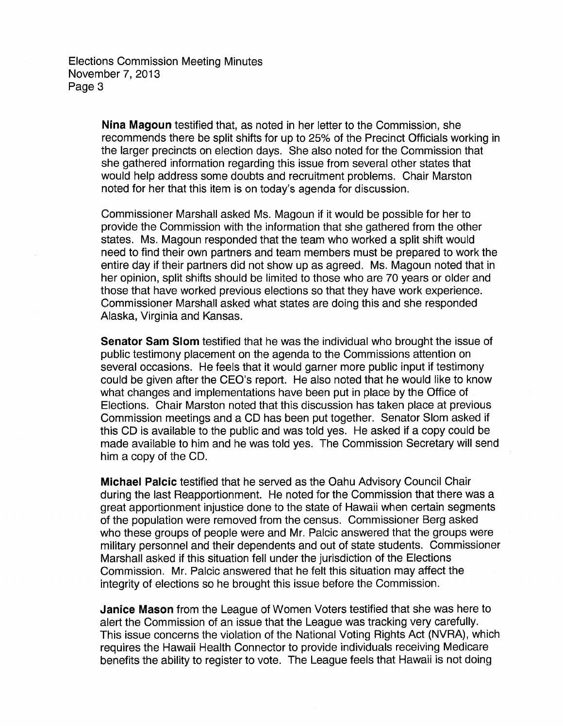> **Nina Magoun** testified that, as noted in her letter to the Commission, she recommends there be split shifts for up to 25% of the Precinct Officials working in the larger precincts on election days. She also noted for the Commission that she gathered information regarding this issue from several other states that would help address some doubts and recruitment problems. Chair Marston noted for her that this item is on today's agenda for discussion.

> Commissioner Marshall asked Ms. Magoun if it would be possible for her to provide the Commission with the information that she gathered from the other states. Ms. Magoun responded that the team who worked a split shift would need to find their own partners and team members must be prepared to work the entire day if their partners did not show up as agreed. Ms. Magoun noted that in her opinion, split shifts should be limited to those who are 70 years or older and those that have worked previous elections so that they have work experience. Commissioner Marshall asked what states are doing this and she responded Alaska, Virginia and Kansas.

> **Senator Sam Slom** testified that he was the individual who brought the issue of public testimony placement on the agenda to the Commissions attention on several occasions. He feels that it would garner more public input if testimony could be given after the CEO's report. He also noted that he would like to know what changes and implementations have been put in place by the Office of Elections. Chair Marston noted that this discussion has taken place at previous Commission meetings and a CD has been put together. Senator Slom asked if this CD is available to the public and was told yes. He asked if a copy could be made available to him and he was told yes. The Commission Secretary will send him a copy of the CD.

> **Michael Palcic** testified that he served as the Oahu Advisory Council Chair during the last Reapportionment. He noted for the Commission that there was a great apportionment injustice done to the state of Hawaii when certain segments of the population were removed from the census. Commissioner Berg asked who these groups of people were and Mr. Palcic answered that the groups were military personnel and their dependents and out of state students. Commissioner Marshall asked if this situation fell under the jurisdiction of the Elections Commission. Mr. Palcic answered that he felt this situation may affect the integrity of elections so he brought this issue before the Commission.

> **Janice Mason** from the League of Women Voters testified that she was here to alert the Commission of an issue that the League was tracking very carefully. This issue concerns the violation of the National Voting Rights Act (NVRA), which requires the Hawaii Health Connector to provide individuals receiving Medicare benefits the ability to register to vote. The League feels that Hawaii is not doing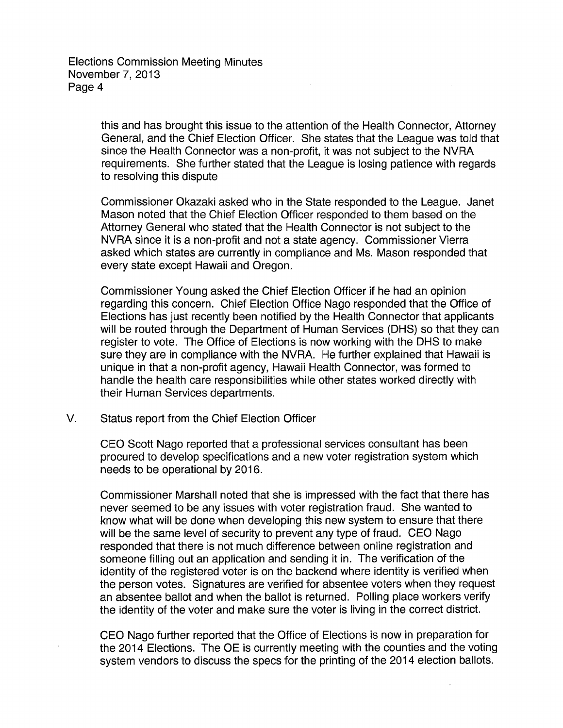> this and has brought this issue to the attention of the Health Connector, Attorney General, and the Chief Election Officer. She states that the League was told that since the Health Connector was a non-profit, it was not subject to the NVRA requirements. She further stated that the League is losing patience with regards to resolving this dispute

Commissioner Okazaki asked who in the State responded to the League. Janet Mason noted that the Chief Election Officer responded to them based on the Attorney General who stated that the Health Connector is not subject to the NVRA since it is a non-profit and not a state agency. Commissioner Vierra asked which states are currently in compliance and Ms. Mason responded that every state except Hawaii and Oregon.

Commissioner Young asked the Chief Election Officer if he had an opinion regarding this concern. Chief Election Office Nago responded that the Office of Elections has just recently been notified by the Health Connector that applicants will be routed through the Department of Human Services (DHS) so that they can register to vote. The Office of Elections is now working with the DHS to make sure they are in compliance with the NVRA. He further explained that Hawaii is unique in that a non-profit agency, Hawaii Health Connector, was formed to handle the health care responsibilities while other states worked directly with their Human Services departments.

V. Status report from the Chief Election Officer

CEO Scott Nago reported that a professional services consultant has been procured to develop specifications and a new voter registration system which needs to be operational by 2016.

Commissioner Marshall noted that she is impressed with the fact that there has never seemed to be any issues with voter registration fraud. She wanted to know what will be done when developing this new system to ensure that there will be the same level of security to prevent any type of fraud. CEO Nago responded that there is not much difference between online registration and someone filling out an application and sending it in. The verification of the identity of the registered voter is on the backend where identity is verified when the person votes. Signatures are verified for absentee voters when they request an absentee ballot and when the ballot is returned. Polling place workers verify the identity of the voter and make sure the voter is living in the correct district.

CEO Nago further reported that the Office of Elections is now in preparation for the 2014 Elections. The OE is currently meeting with the counties and the voting system vendors to discuss the specs for the printing of the 2014 election ballots.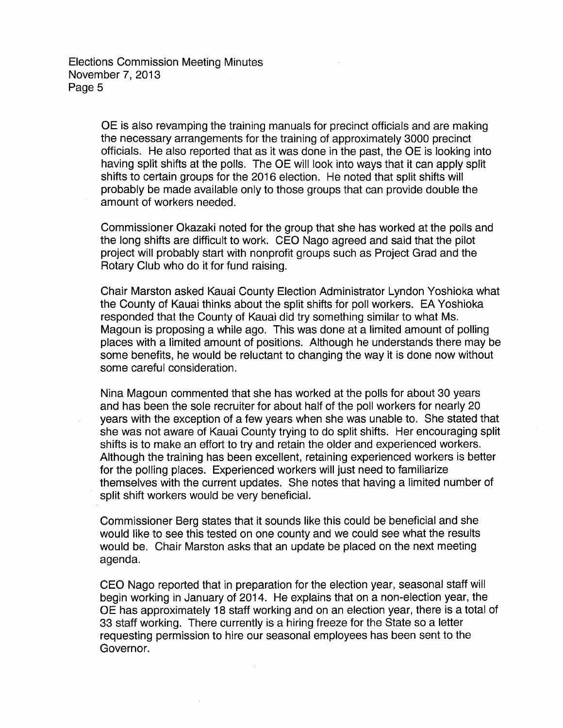OE is also revamping the training manuals for precinct officials and are making the necessary arrangements for the training of approximately 3000 precinct officials. He also reported that as it was done in the past, the OE is looking into having split shifts at the polls. The OE will look into ways that it can apply split shifts to certain groups for the 2016 election. He noted that split shifts will probably be made available only to those groups that can provide double the amount of workers needed.

Commissioner Okazaki noted for the group that she has worked at the polls and the long shifts are difficult to work. CEO Nago agreed and said that the pilot project will probably start with nonprofit groups such as Project Grad and the Rotary Club who do it for fund raising.

Chair Marston asked Kauai County Election Administrator Lyndon Yoshioka what the County of Kauai thinks about the split shifts for poll workers. EA Yoshioka responded that the County of Kauai did try something similar to what Ms. Magoun is proposing a while ago. This was done at a limited amount of polling places with a limited amount of positions. Although he understands there may be some benefits, he would be reluctant to changing the way it is done now without some careful consideration.

Nina Magoun commented that she has worked at the polls for about 30 years and has been the sole recruiter for about half of the poll workers for nearly 20 years with the exception of a few years when she was unable to. She stated that she was not aware of Kauai County trying to do split shifts. Her encouraging split shifts is to make an effort to try and retain the older and experienced workers. Although the training has been excellent, retaining experienced workers is better for the polling places. Experienced workers will just need to familiarize themselves with the current updates. She notes that having a limited number of split shift workers would be very beneficial.

Commissioner Berg states that it sounds like this could be beneficial and she would like to see this tested on one county and we could see what the results would be. Chair Marston asks that an update be placed on the next meeting agenda.

CEO Nago reported that in preparation for the election year, seasonal staff will begin working in January of 2014. He explains that on a non-election year, the OE has approximately 18 staff working and on an election year, there is a total of 33 staff working. There currently is a hiring freeze for the State so a letter requesting permission to hire our seasonal employees has been sent to the Governor.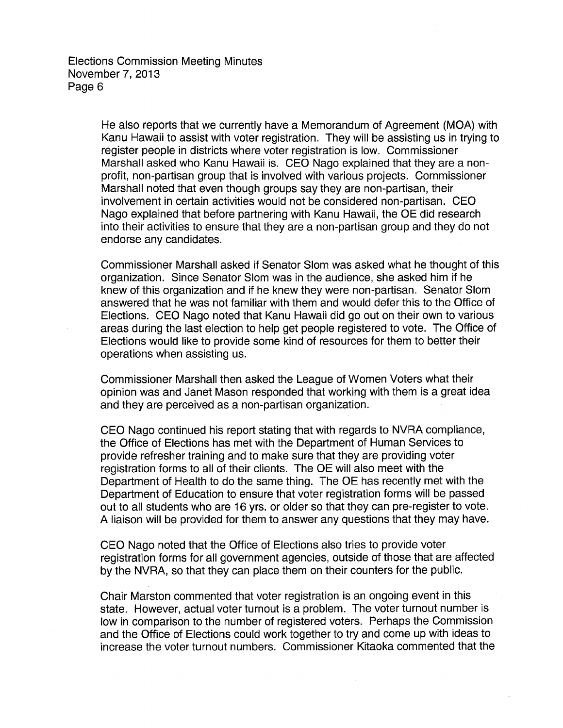> He also reports that we currently have a Memorandum of Agreement (MOA) with Kanu Hawaii to assist with voter registration. They will be assisting us in trying to register people in districts where voter registration is low. Commissioner Marshall asked who Kanu Hawaii is. CEO Nago explained that they are a nonprofit, non-partisan group that is involved with various projects. Commissioner Marshall noted that even though groups say they are non-partisan, their involvement in certain activities would not be considered non-partisan. CEO Nago explained that before partnering with Kanu Hawaii, the OE did research into their activities to ensure that they are a non-partisan group and they do not endorse any candidates.

> Commissioner Marshall asked if Senator Slom was asked what he thought of this organization. Since Senator Slom was in the audience, she asked him if he knew of this organization and if he knew they were non-partisan. Senator Slom answered that he was not familiar with them and would defer this to the Office of Elections. CEO Nago noted that Kanu Hawaii did go out on their own to various areas during the last election to help get people registered to vote. The Office of Elections would like to provide some kind of resources for them to better their operations when assisting us.

Commissioner Marshall then asked the League of Women Voters what their opinion was and Janet Mason responded that working with them is a great idea and they are perceived as a non-partisan organization.

CEO Nago continued his report stating that with regards to NVRA compliance, the Office of Elections has met with the Department of Human Services to provide refresher training and to make sure that they are providing voter registration forms to all of their clients. The OE will also meet with the Department of Health to do the same thing. The OE has recently met with the Department of Education to ensure that voter registration forms will be passed out to all students who are 16 yrs. or older so that they can pre-register to vote. A liaison will be provided for them to answer any questions that they may have.

CEO Nago noted that the Office of Elections also tries to provide voter registration forms for all government agencies, outside of those that are affected by the NVRA, so that they can place them on their counters for the public.

Chair Marston commented that voter registration is an ongoing event in this state. However, actual voter turnout is a problem. The voter turnout number is low in comparison to the number of registered voters. Perhaps the Commission and the Office of Elections could work together to try and come up with ideas to increase the voter turnout numbers. Commissioner Kitaoka commented that the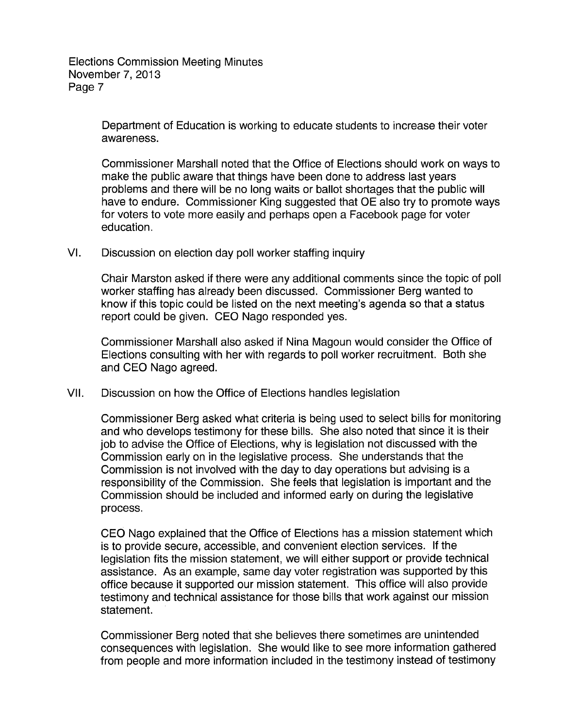> Department of Education is working to educate students to increase their voter awareness.

Commissioner Marshall noted that the Office of Elections should work on ways to make the public aware that things have been done to address last years problems and there will be no long waits or ballot shortages that the public will have to endure. Commissioner King suggested that OE also try to promote ways for voters to vote more easily and perhaps open a Facebook page for voter education.

VI. Discussion on election day poll worker staffing inquiry

Chair Marston asked if there were any additional comments since the topic of poll worker staffing has already been discussed. Commissioner Berg wanted to know if this topic could be listed on the next meeting's agenda so that a status report could be given. CEO Nago responded yes.

Commissioner Marshall also asked if Nina Magoun would consider the Office of Elections consulting with her with regards to poll worker recruitment. Both she and CEO Nago agreed.

VII. Discussion on how the Office of Elections handles legislation

Commissioner Berg asked what criteria is being used to select bills for monitoring and who develops testimony for these bills. She also noted that since it is their job to advise the Office of Elections, why is legislation not discussed with the Commission early on in the legislative process. She understands that the Commission is not involved with the day to day operations but advising is a responsibility of the Commission. She feels that legislation is important and the Commission should be included and informed early on during the legislative process.

CEO Nago explained that the Office of Elections has a mission statement which is to provide secure, accessible, and convenient election services. If the legislation fits the mission statement, we will either support or provide technical assistance. As an example, same day voter registration was supported by this office because it supported our mission statement. This office will also provide testimony and technical assistance for those bills that work against our mission statement.

Commissioner Berg noted that she believes there sometimes are unintended consequences with legislation. She would like to see more information gathered from people and more information included in the testimony instead of testimony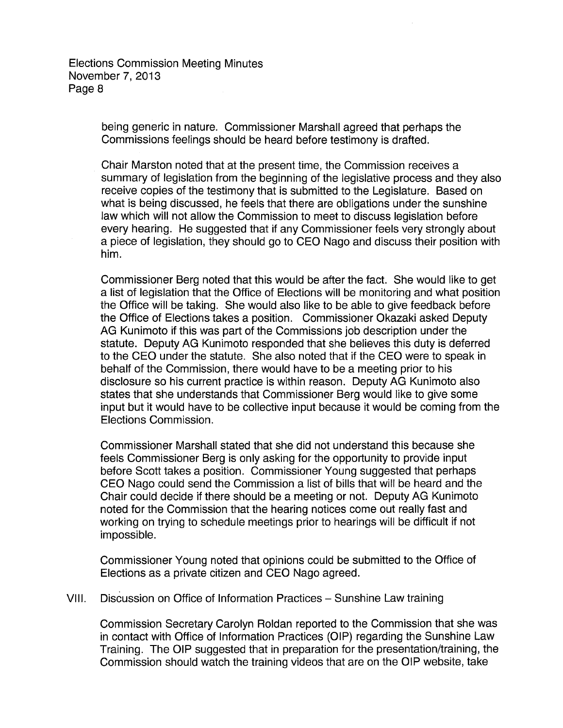> being generic in nature. Commissioner Marshall agreed that perhaps the Commissions feelings should be heard before testimony is drafted.

Chair Marston noted that at the present time, the Commission receives a summary of legislation from the beginning of the legislative process and they also receive copies of the testimony that is submitted to the Legislature. Based on what is being discussed, he feels that there are obligations under the sunshine law which will not allow the Commission to meet to discuss legislation before every hearing. He suggested that if any Commissioner feels very strongly about a piece of legislation, they should go to CEO Nago and discuss their position with him.

Commissioner Berg noted that this would be after the fact. She would like to get a list of legislation that the Office of Elections will be monitoring and what position the Office will be taking. She would also like to be able to give feedback before the Office of Elections takes a position. Commissioner Okazaki asked Deputy AG Kunimoto if this was part of the Commissions job description under the statute. Deputy AG Kunimoto responded that she believes this duty is deferred to the CEO under the statute. She also noted that if the CEO were to speak in behalf of the Commission, there would have to be a meeting prior to his disclosure so his current practice is within reason. Deputy AG Kunimoto also states that she understands that Commissioner Berg would like to give some input but it would have to be collective input because it would be coming from the Elections Commission.

Commissioner Marshall stated that she did not understand this because she feels Commissioner Berg is only asking for the opportunity to provide input before Scott takes a position. Commissioner Young suggested that perhaps CEO Nago could send the Commission a list of bills that will be heard and the Chair could decide if there should be a meeting or not. Deputy AG Kunimoto noted for the Commission that the hearing notices come out really fast and working on trying to schedule meetings prior to hearings will be difficult if not impossible.

Commissioner Young noted that opinions could be submitted to the Office of Elections as a private citizen and CEO Nago agreed.

VIII. Discussion on Office of Information Practices- Sunshine Law training

Commission Secretary Carolyn Roldan reported to the Commission that she was in contact with Office of Information Practices (OIP) regarding the Sunshine Law Training. The OIP suggested that in preparation for the presentation/training, the Commission should watch the training videos that are on the OIP website, take